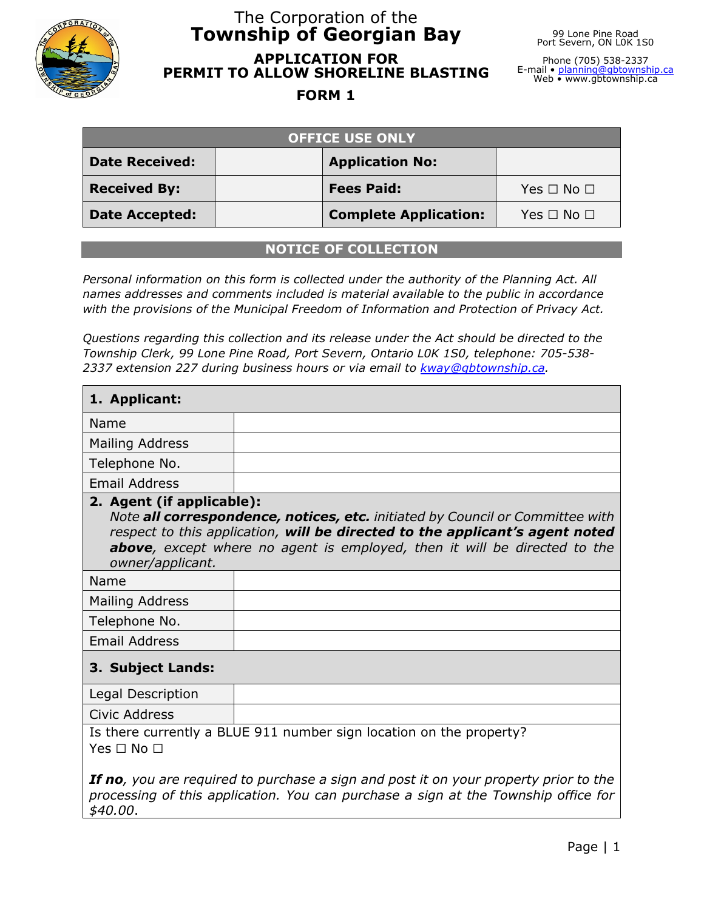

## The Corporation of the **Township of Georgian Bay APPLICATION FOR PERMIT TO ALLOW SHORELINE BLASTING**

99 Lone Pine Road Port Severn, ON L0K 1S0

Phone (705) 538-2337 E-mail • <u>planning@gbtownship.ca</u><br>Web • www.gbtownship.ca

**FORM 1**

| <b>OFFICE USE ONLY</b> |                              |                      |  |
|------------------------|------------------------------|----------------------|--|
| <b>Date Received:</b>  | <b>Application No:</b>       |                      |  |
| <b>Received By:</b>    | <b>Fees Paid:</b>            | Yes $\Box$ No $\Box$ |  |
| <b>Date Accepted:</b>  | <b>Complete Application:</b> | Yes $\Box$ No $\Box$ |  |

## **NOTICE OF COLLECTION**

*Personal information on this form is collected under the authority of the Planning Act. All names addresses and comments included is material available to the public in accordance with the provisions of the Municipal Freedom of Information and Protection of Privacy Act.* 

*Questions regarding this collection and its release under the Act should be directed to the Township Clerk, 99 Lone Pine Road, Port Severn, Ontario L0K 1S0, telephone: 705-538- 2337 extension 227 during business hours or via email to [kway@gbtownship.ca.](mailto:kway@gbtownship.ca)* 

| 1. Applicant:                                                                                                                                                                                                                                                                               |  |  |  |
|---------------------------------------------------------------------------------------------------------------------------------------------------------------------------------------------------------------------------------------------------------------------------------------------|--|--|--|
| Name                                                                                                                                                                                                                                                                                        |  |  |  |
| <b>Mailing Address</b>                                                                                                                                                                                                                                                                      |  |  |  |
| Telephone No.                                                                                                                                                                                                                                                                               |  |  |  |
| <b>Email Address</b>                                                                                                                                                                                                                                                                        |  |  |  |
| 2. Agent (if applicable):<br>Note all correspondence, notices, etc. initiated by Council or Committee with<br>respect to this application, will be directed to the applicant's agent noted<br>above, except where no agent is employed, then it will be directed to the<br>owner/applicant. |  |  |  |
| Name                                                                                                                                                                                                                                                                                        |  |  |  |
| <b>Mailing Address</b>                                                                                                                                                                                                                                                                      |  |  |  |
| Telephone No.                                                                                                                                                                                                                                                                               |  |  |  |
| <b>Email Address</b>                                                                                                                                                                                                                                                                        |  |  |  |
| 3. Subject Lands:                                                                                                                                                                                                                                                                           |  |  |  |
| Legal Description                                                                                                                                                                                                                                                                           |  |  |  |
| Civic Address                                                                                                                                                                                                                                                                               |  |  |  |
| Is there currently a BLUE 911 number sign location on the property?<br>Yes □ No □                                                                                                                                                                                                           |  |  |  |
| <b>If no</b> , you are required to purchase a sign and post it on your property prior to the<br>processing of this application. You can purchase a sign at the Township office for<br>\$40.00.                                                                                              |  |  |  |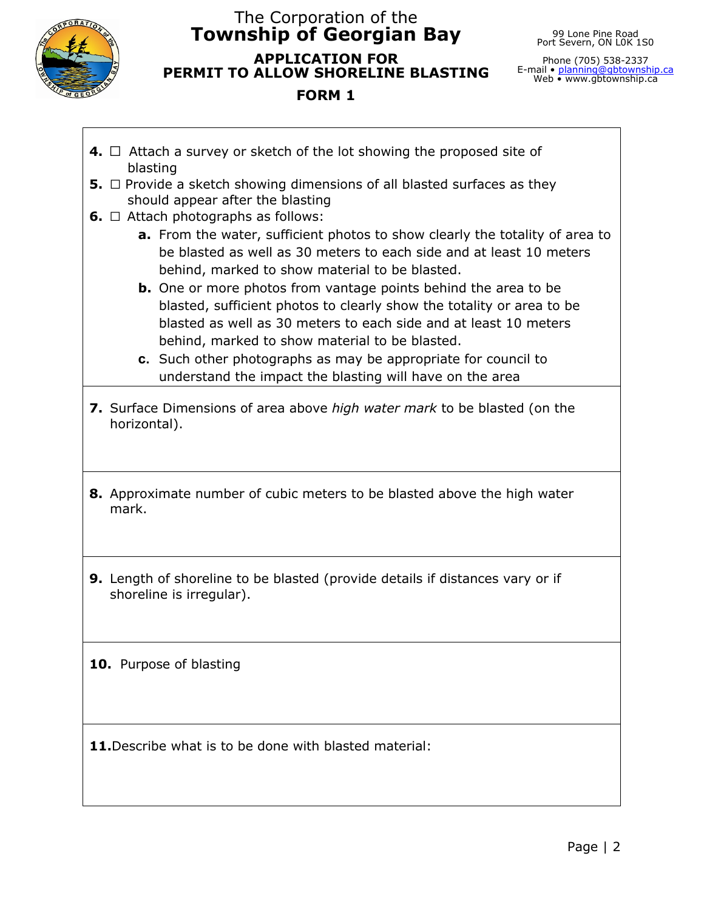

## The Corporation of the **Township of Georgian Bay APPLICATION FOR PERMIT TO ALLOW SHORELINE BLASTING**

99 Lone Pine Road Port Severn, ON L0K 1S0

Phone (705) 538-2337 E-mail • <u>planning@gbtownship.ca</u><br>Web • www.gbtownship.ca

- **FORM 1**
- **4.** □ Attach a survey or sketch of the lot showing the proposed site of blasting
- **5.** □ Provide a sketch showing dimensions of all blasted surfaces as they should appear after the blasting
- **6.** □ Attach photographs as follows:
	- **a.** From the water, sufficient photos to show clearly the totality of area to be blasted as well as 30 meters to each side and at least 10 meters behind, marked to show material to be blasted.
	- **b.** One or more photos from vantage points behind the area to be blasted, sufficient photos to clearly show the totality or area to be blasted as well as 30 meters to each side and at least 10 meters behind, marked to show material to be blasted.
	- **c.** Such other photographs as may be appropriate for council to understand the impact the blasting will have on the area
- **7.** Surface Dimensions of area above *high water mark* to be blasted (on the horizontal).
- **8.** Approximate number of cubic meters to be blasted above the high water mark.
- **9.** Length of shoreline to be blasted (provide details if distances vary or if shoreline is irregular).

**10.** Purpose of blasting

**11.**Describe what is to be done with blasted material: